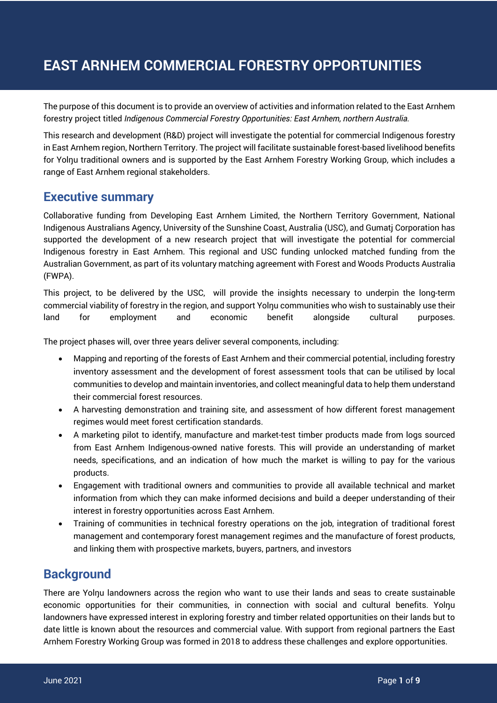# **EAST ARNHEM COMMERCIAL FORESTRY OPPORTUNITIES**

The purpose of this document is to provide an overview of activities and information related to the East Arnhem forestry project titled *Indigenous Commercial Forestry Opportunities: East Arnhem, northern Australia.*

This research and development (R&D) project will investigate the potential for commercial Indigenous forestry in East Arnhem region, Northern Territory. The project will facilitate sustainable forest-based livelihood benefits for Yolŋu traditional owners and is supported by the East Arnhem Forestry Working Group, which includes a range of East Arnhem regional stakeholders.

## **Executive summary**

Collaborative funding from Developing East Arnhem Limited, the Northern Territory Government, National Indigenous Australians Agency, University of the Sunshine Coast, Australia (USC), and Gumatj Corporation has supported the development of a new research project that will investigate the potential for commercial Indigenous forestry in East Arnhem. This regional and USC funding unlocked matched funding from the Australian Government, as part of its voluntary matching agreement with Forest and Woods Products Australia (FWPA).

This project, to be delivered by the USC, will provide the insights necessary to underpin the long-term commercial viability of forestry in the region, and support Yolŋu communities who wish to sustainably use their land for employment and economic benefit alongside cultural purposes.

The project phases will, over three years deliver several components, including:

- Mapping and reporting of the forests of East Arnhem and their commercial potential, including forestry inventory assessment and the development of forest assessment tools that can be utilised by local communities to develop and maintain inventories, and collect meaningful data to help them understand their commercial forest resources.
- A harvesting demonstration and training site, and assessment of how different forest management regimes would meet forest certification standards.
- A marketing pilot to identify, manufacture and market-test timber products made from logs sourced from East Arnhem Indigenous-owned native forests. This will provide an understanding of market needs, specifications, and an indication of how much the market is willing to pay for the various products.
- Engagement with traditional owners and communities to provide all available technical and market information from which they can make informed decisions and build a deeper understanding of their interest in forestry opportunities across East Arnhem.
- Training of communities in technical forestry operations on the job, integration of traditional forest management and contemporary forest management regimes and the manufacture of forest products, and linking them with prospective markets, buyers, partners, and investors

# **Background**

There are Yolnu landowners across the region who want to use their lands and seas to create sustainable economic opportunities for their communities, in connection with social and cultural benefits. Yolnu landowners have expressed interest in exploring forestry and timber related opportunities on their lands but to date little is known about the resources and commercial value. With support from regional partners the East Arnhem Forestry Working Group was formed in 2018 to address these challenges and explore opportunities.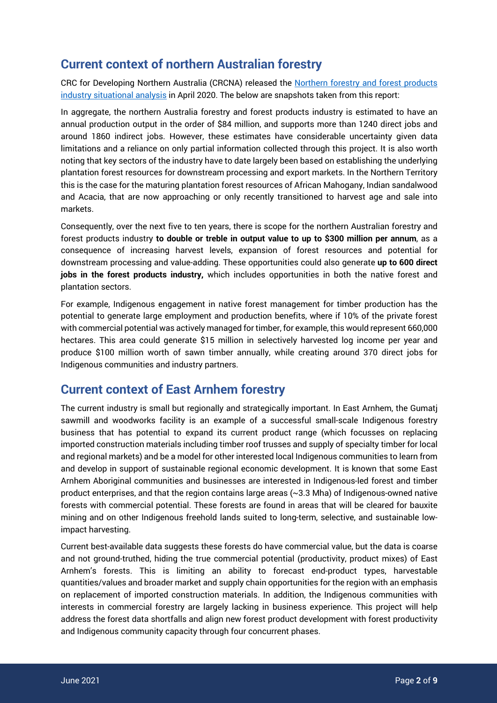# **Current context of northern Australian forestry**

CRC for Developing Northern Australia (CRCNA) released the Northern forestry and forest products industry situational analysis in April 2020. The below are snapshots taken from this report:

In aggregate, the northern Australia forestry and forest products industry is estimated to have an annual production output in the order of \$84 million, and supports more than 1240 direct jobs and around 1860 indirect jobs. However, these estimates have considerable uncertainty given data limitations and a reliance on only partial information collected through this project. It is also worth noting that key sectors of the industry have to date largely been based on establishing the underlying plantation forest resources for downstream processing and export markets. In the Northern Territory this is the case for the maturing plantation forest resources of African Mahogany, Indian sandalwood and Acacia, that are now approaching or only recently transitioned to harvest age and sale into markets.

Consequently, over the next five to ten years, there is scope for the northern Australian forestry and forest products industry **to double or treble in output value to up to \$300 million per annum**, as a consequence of increasing harvest levels, expansion of forest resources and potential for downstream processing and value-adding. These opportunities could also generate **up to 600 direct jobs in the forest products industry,** which includes opportunities in both the native forest and plantation sectors.

For example, Indigenous engagement in native forest management for timber production has the potential to generate large employment and production benefits, where if 10% of the private forest with commercial potential was actively managed for timber, for example, this would represent 660,000 hectares. This area could generate \$15 million in selectively harvested log income per year and produce \$100 million worth of sawn timber annually, while creating around 370 direct jobs for Indigenous communities and industry partners.

# **Current context of East Arnhem forestry**

The current industry is small but regionally and strategically important. In East Arnhem, the Gumatj sawmill and woodworks facility is an example of a successful small-scale Indigenous forestry business that has potential to expand its current product range (which focusses on replacing imported construction materials including timber roof trusses and supply of specialty timber for local and regional markets) and be a model for other interested local Indigenous communities to learn from and develop in support of sustainable regional economic development. It is known that some East Arnhem Aboriginal communities and businesses are interested in Indigenous-led forest and timber product enterprises, and that the region contains large areas (~3.3 Mha) of Indigenous-owned native forests with commercial potential. These forests are found in areas that will be cleared for bauxite mining and on other Indigenous freehold lands suited to long-term, selective, and sustainable lowimpact harvesting.

Current best-available data suggests these forests do have commercial value, but the data is coarse and not ground-truthed, hiding the true commercial potential (productivity, product mixes) of East Arnhem's forests. This is limiting an ability to forecast end-product types, harvestable quantities/values and broader market and supply chain opportunities for the region with an emphasis on replacement of imported construction materials. In addition, the Indigenous communities with interests in commercial forestry are largely lacking in business experience. This project will help address the forest data shortfalls and align new forest product development with forest productivity and Indigenous community capacity through four concurrent phases.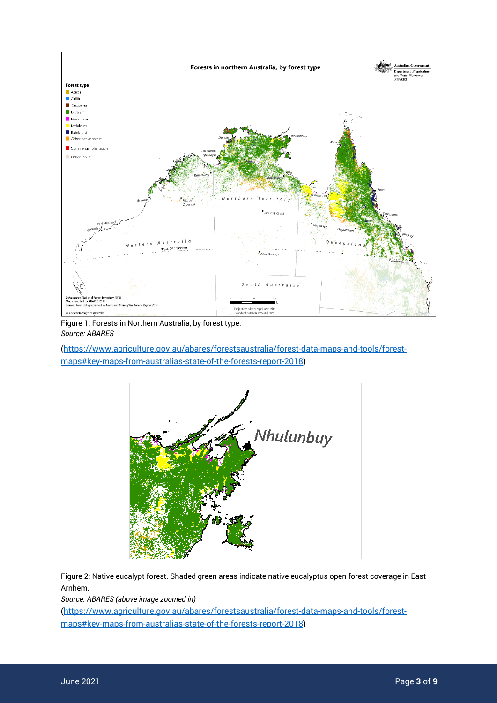

Figure 1: Forests in Northern Australia, by forest type. *Source: ABARES*

(https://www.agriculture.gov.au/abares/forestsaustralia/forest-data-maps-and-tools/forestmaps#key-maps-from-australias-state-of-the-forests-report-2018)



Figure 2: Native eucalypt forest. Shaded green areas indicate native eucalyptus open forest coverage in East Arnhem.

*Source: ABARES (above image zoomed in)*

(https://www.agriculture.gov.au/abares/forestsaustralia/forest-data-maps-and-tools/forestmaps#key-maps-from-australias-state-of-the-forests-report-2018)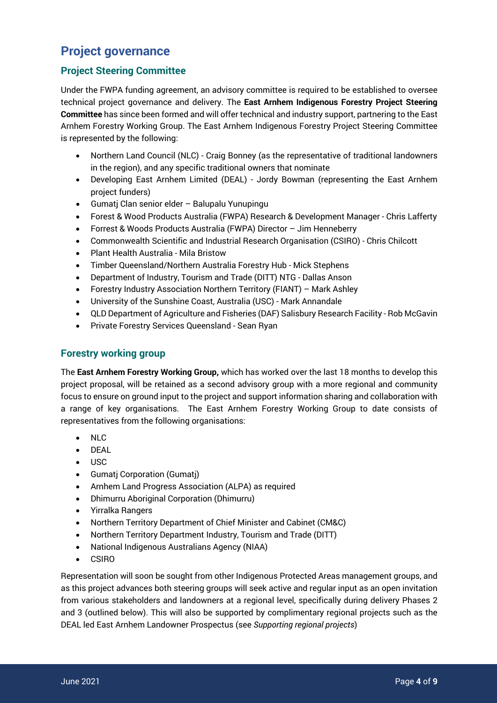# **Project governance**

## **Project Steering Committee**

Under the FWPA funding agreement, an advisory committee is required to be established to oversee technical project governance and delivery. The **East Arnhem Indigenous Forestry Project Steering Committee** has since been formed and will offer technical and industry support, partnering to the East Arnhem Forestry Working Group. The East Arnhem Indigenous Forestry Project Steering Committee is represented by the following:

- Northern Land Council (NLC) Craig Bonney (as the representative of traditional landowners in the region), and any specific traditional owners that nominate
- Developing East Arnhem Limited (DEAL) Jordy Bowman (representing the East Arnhem project funders)
- Gumatj Clan senior elder Balupalu Yunupingu
- Forest & Wood Products Australia (FWPA) Research & Development Manager Chris Lafferty
- Forrest & Woods Products Australia (FWPA) Director Jim Henneberry
- Commonwealth Scientific and Industrial Research Organisation (CSIRO) Chris Chilcott
- Plant Health Australia Mila Bristow
- Timber Queensland/Northern Australia Forestry Hub Mick Stephens
- Department of Industry, Tourism and Trade (DITT) NTG Dallas Anson
- Forestry Industry Association Northern Territory (FIANT) Mark Ashley
- University of the Sunshine Coast, Australia (USC) Mark Annandale
- QLD Department of Agriculture and Fisheries (DAF) Salisbury Research Facility Rob McGavin
- Private Forestry Services Queensland Sean Ryan

## **Forestry working group**

The **East Arnhem Forestry Working Group,** which has worked over the last 18 months to develop this project proposal, will be retained as a second advisory group with a more regional and community focus to ensure on ground input to the project and support information sharing and collaboration with a range of key organisations. The East Arnhem Forestry Working Group to date consists of representatives from the following organisations:

- NLC
- DEAL
- USC
- Gumatj Corporation (Gumatj)
- Arnhem Land Progress Association (ALPA) as required
- Dhimurru Aboriginal Corporation (Dhimurru)
- Yirralka Rangers
- Northern Territory Department of Chief Minister and Cabinet (CM&C)
- Northern Territory Department Industry, Tourism and Trade (DITT)
- National Indigenous Australians Agency (NIAA)
- CSIRO

Representation will soon be sought from other Indigenous Protected Areas management groups, and as this project advances both steering groups will seek active and regular input as an open invitation from various stakeholders and landowners at a regional level, specifically during delivery Phases 2 and 3 (outlined below). This will also be supported by complimentary regional projects such as the DEAL led East Arnhem Landowner Prospectus (see *Supporting regional projects*)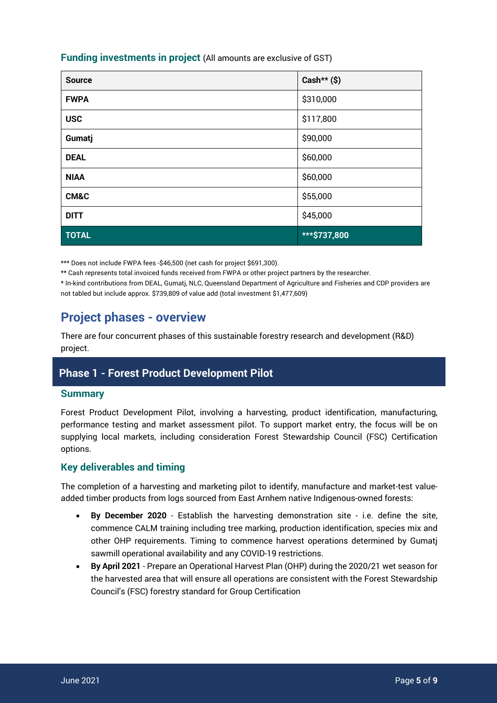## **Funding investments in project** (All amounts are exclusive of GST)

| <b>Source</b> | Cash** $(S)$ |
|---------------|--------------|
| <b>FWPA</b>   | \$310,000    |
| <b>USC</b>    | \$117,800    |
| Gumatj        | \$90,000     |
| <b>DEAL</b>   | \$60,000     |
| <b>NIAA</b>   | \$60,000     |
| CM&C          | \$55,000     |
| <b>DITT</b>   | \$45,000     |
| <b>TOTAL</b>  | ***\$737,800 |

\*\*\* Does not include FWPA fees -\$46,500 (net cash for project \$691,300).

\*\* Cash represents total invoiced funds received from FWPA or other project partners by the researcher.

\* In-kind contributions from DEAL, Gumatj, NLC, Queensland Department of Agriculture and Fisheries and CDP providers are not tabled but include approx. \$739,809 of value add (total investment \$1,477,609)

# **Project phases - overview**

There are four concurrent phases of this sustainable forestry research and development (R&D) project.

## **Phase 1 - Forest Product Development Pilot**

### **Summary**

Forest Product Development Pilot, involving a harvesting, product identification, manufacturing, performance testing and market assessment pilot. To support market entry, the focus will be on supplying local markets, including consideration Forest Stewardship Council (FSC) Certification options.

## **Key deliverables and timing**

The completion of a harvesting and marketing pilot to identify, manufacture and market-test valueadded timber products from logs sourced from East Arnhem native Indigenous-owned forests:

- **By December 2020** Establish the harvesting demonstration site i.e. define the site, commence CALM training including tree marking, production identification, species mix and other OHP requirements. Timing to commence harvest operations determined by Gumatj sawmill operational availability and any COVID-19 restrictions.
- **By April 2021**  Prepare an Operational Harvest Plan (OHP) during the 2020/21 wet season for the harvested area that will ensure all operations are consistent with the Forest Stewardship Council's (FSC) forestry standard for Group Certification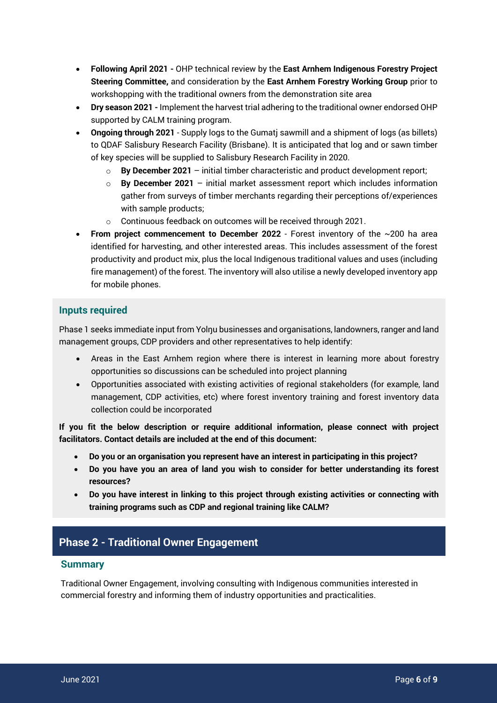- **Following April 2021 -** OHP technical review by the **East Arnhem Indigenous Forestry Project Steering Committee,** and consideration by the **East Arnhem Forestry Working Group** prior to workshopping with the traditional owners from the demonstration site area
- **Dry season 2021 -** Implement the harvest trial adhering to the traditional owner endorsed OHP supported by CALM training program.
- **Ongoing through 2021** Supply logs to the Gumatj sawmill and a shipment of logs (as billets) to QDAF Salisbury Research Facility (Brisbane). It is anticipated that log and or sawn timber of key species will be supplied to Salisbury Research Facility in 2020.
	- $\circ$  **By December 2021** initial timber characteristic and product development report;
	- o **By December 2021**  initial market assessment report which includes information gather from surveys of timber merchants regarding their perceptions of/experiences with sample products;
	- o Continuous feedback on outcomes will be received through 2021.
- **From project commencement to December 2022** Forest inventory of the ~200 ha area identified for harvesting, and other interested areas. This includes assessment of the forest productivity and product mix, plus the local Indigenous traditional values and uses (including fire management) of the forest. The inventory will also utilise a newly developed inventory app for mobile phones.

## **Inputs required**

Phase 1 seeks immediate input from Yolnu businesses and organisations, landowners, ranger and land management groups, CDP providers and other representatives to help identify:

- Areas in the East Arnhem region where there is interest in learning more about forestry opportunities so discussions can be scheduled into project planning
- Opportunities associated with existing activities of regional stakeholders (for example, land management, CDP activities, etc) where forest inventory training and forest inventory data collection could be incorporated

**If you fit the below description or require additional information, please connect with project facilitators. Contact details are included at the end of this document:** 

- **Do you or an organisation you represent have an interest in participating in this project?**
- **Do you have you an area of land you wish to consider for better understanding its forest resources?**
- **Do you have interest in linking to this project through existing activities or connecting with training programs such as CDP and regional training like CALM?**

## **Phase 2 - Traditional Owner Engagement**

### **Summary**

Traditional Owner Engagement, involving consulting with Indigenous communities interested in commercial forestry and informing them of industry opportunities and practicalities.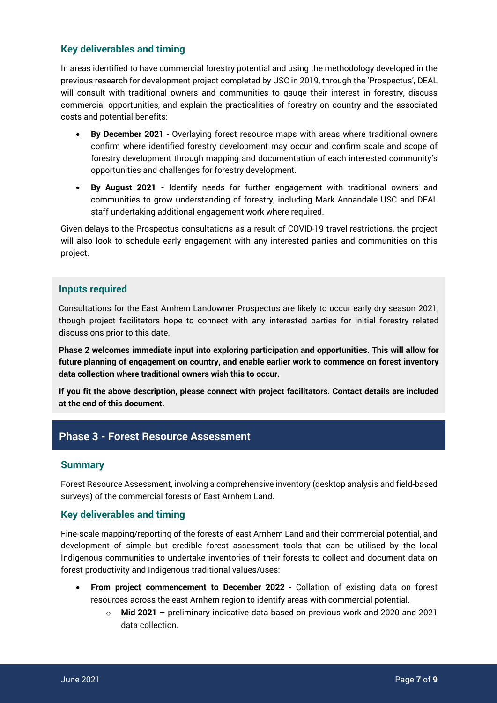## **Key deliverables and timing**

In areas identified to have commercial forestry potential and using the methodology developed in the previous research for development project completed by USC in 2019, through the 'Prospectus', DEAL will consult with traditional owners and communities to gauge their interest in forestry, discuss commercial opportunities, and explain the practicalities of forestry on country and the associated costs and potential benefits:

- **By December 2021** Overlaying forest resource maps with areas where traditional owners confirm where identified forestry development may occur and confirm scale and scope of forestry development through mapping and documentation of each interested community's opportunities and challenges for forestry development.
- **By August 2021 -** Identify needs for further engagement with traditional owners and communities to grow understanding of forestry, including Mark Annandale USC and DEAL staff undertaking additional engagement work where required.

Given delays to the Prospectus consultations as a result of COVID-19 travel restrictions, the project will also look to schedule early engagement with any interested parties and communities on this project.

### **Inputs required**

Consultations for the East Arnhem Landowner Prospectus are likely to occur early dry season 2021, though project facilitators hope to connect with any interested parties for initial forestry related discussions prior to this date.

**Phase 2 welcomes immediate input into exploring participation and opportunities. This will allow for future planning of engagement on country, and enable earlier work to commence on forest inventory data collection where traditional owners wish this to occur.** 

**If you fit the above description, please connect with project facilitators. Contact details are included at the end of this document.** 

## **Phase 3 - Forest Resource Assessment**

### **Summary**

Forest Resource Assessment, involving a comprehensive inventory (desktop analysis and field-based surveys) of the commercial forests of East Arnhem Land.

## **Key deliverables and timing**

Fine-scale mapping/reporting of the forests of east Arnhem Land and their commercial potential, and development of simple but credible forest assessment tools that can be utilised by the local Indigenous communities to undertake inventories of their forests to collect and document data on forest productivity and Indigenous traditional values/uses:

- **From project commencement to December 2022** Collation of existing data on forest resources across the east Arnhem region to identify areas with commercial potential.
	- o **Mid 2021 –** preliminary indicative data based on previous work and 2020 and 2021 data collection.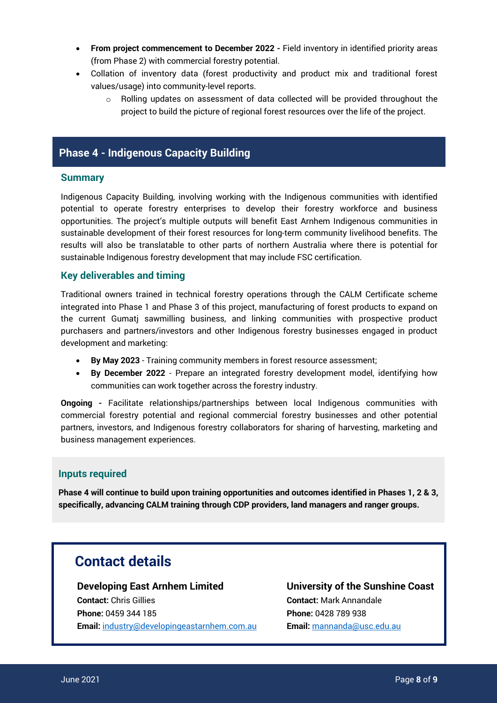- **From project commencement to December 2022 -** Field inventory in identified priority areas (from Phase 2) with commercial forestry potential.
- Collation of inventory data (forest productivity and product mix and traditional forest values/usage) into community-level reports.
	- o Rolling updates on assessment of data collected will be provided throughout the project to build the picture of regional forest resources over the life of the project.

## **Phase 4 - Indigenous Capacity Building**

### **Summary**

Indigenous Capacity Building, involving working with the Indigenous communities with identified potential to operate forestry enterprises to develop their forestry workforce and business opportunities. The project's multiple outputs will benefit East Arnhem Indigenous communities in sustainable development of their forest resources for long-term community livelihood benefits. The results will also be translatable to other parts of northern Australia where there is potential for sustainable Indigenous forestry development that may include FSC certification.

### **Key deliverables and timing**

Traditional owners trained in technical forestry operations through the CALM Certificate scheme integrated into Phase 1 and Phase 3 of this project, manufacturing of forest products to expand on the current Gumatj sawmilling business, and linking communities with prospective product purchasers and partners/investors and other Indigenous forestry businesses engaged in product development and marketing:

- **By May 2023** Training community members in forest resource assessment;
- **By December 2022** Prepare an integrated forestry development model, identifying how communities can work together across the forestry industry.

**Ongoing -** Facilitate relationships/partnerships between local Indigenous communities with commercial forestry potential and regional commercial forestry businesses and other potential partners, investors, and Indigenous forestry collaborators for sharing of harvesting, marketing and business management experiences.

### **Inputs required**

**Phase 4 will continue to build upon training opportunities and outcomes identified in Phases 1, 2 & 3, specifically, advancing CALM training through CDP providers, land managers and ranger groups.** 

# **Contact details**

**Developing East Arnhem Limited Contact:** Chris Gillies **Phone:** 0459 344 185 **Email:** industry@developingeastarnhem.com.au

**University of the Sunshine Coast Contact:** Mark Annandale **Phone:** 0428 789 938 **Email:** mannanda@usc.edu.au